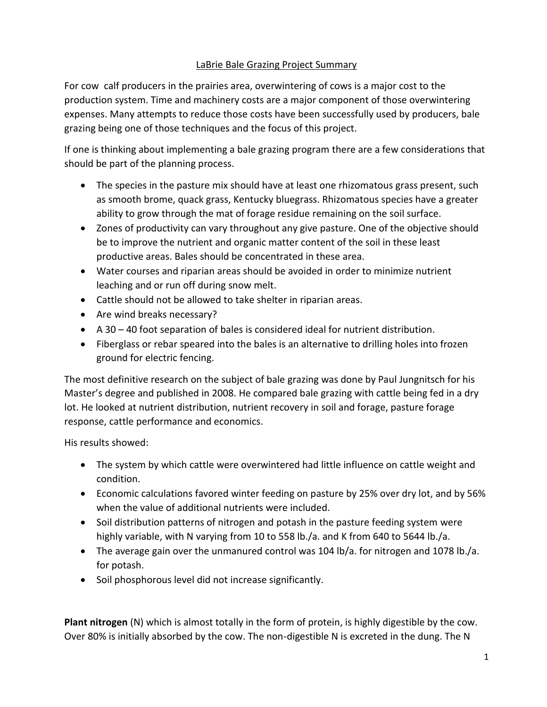# LaBrie Bale Grazing Project Summary

For cow calf producers in the prairies area, overwintering of cows is a major cost to the production system. Time and machinery costs are a major component of those overwintering expenses. Many attempts to reduce those costs have been successfully used by producers, bale grazing being one of those techniques and the focus of this project.

If one is thinking about implementing a bale grazing program there are a few considerations that should be part of the planning process.

- The species in the pasture mix should have at least one rhizomatous grass present, such as smooth brome, quack grass, Kentucky bluegrass. Rhizomatous species have a greater ability to grow through the mat of forage residue remaining on the soil surface.
- Zones of productivity can vary throughout any give pasture. One of the objective should be to improve the nutrient and organic matter content of the soil in these least productive areas. Bales should be concentrated in these area.
- Water courses and riparian areas should be avoided in order to minimize nutrient leaching and or run off during snow melt.
- Cattle should not be allowed to take shelter in riparian areas.
- Are wind breaks necessary?
- A 30 40 foot separation of bales is considered ideal for nutrient distribution.
- Fiberglass or rebar speared into the bales is an alternative to drilling holes into frozen ground for electric fencing.

The most definitive research on the subject of bale grazing was done by Paul Jungnitsch for his Master's degree and published in 2008. He compared bale grazing with cattle being fed in a dry lot. He looked at nutrient distribution, nutrient recovery in soil and forage, pasture forage response, cattle performance and economics.

His results showed:

- The system by which cattle were overwintered had little influence on cattle weight and condition.
- Economic calculations favored winter feeding on pasture by 25% over dry lot, and by 56% when the value of additional nutrients were included.
- Soil distribution patterns of nitrogen and potash in the pasture feeding system were highly variable, with N varying from 10 to 558 lb./a. and K from 640 to 5644 lb./a.
- The average gain over the unmanured control was 104 lb/a. for nitrogen and 1078 lb./a. for potash.
- Soil phosphorous level did not increase significantly.

**Plant nitrogen** (N) which is almost totally in the form of protein, is highly digestible by the cow. Over 80% is initially absorbed by the cow. The non-digestible N is excreted in the dung. The N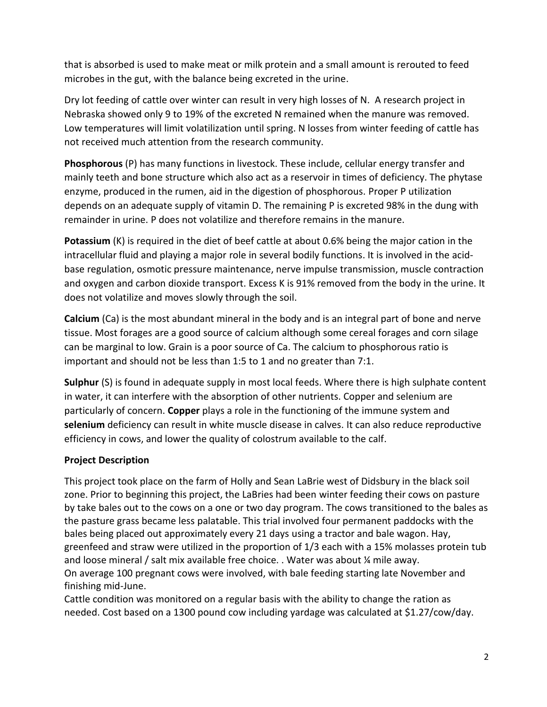that is absorbed is used to make meat or milk protein and a small amount is rerouted to feed microbes in the gut, with the balance being excreted in the urine.

Dry lot feeding of cattle over winter can result in very high losses of N. A research project in Nebraska showed only 9 to 19% of the excreted N remained when the manure was removed. Low temperatures will limit volatilization until spring. N losses from winter feeding of cattle has not received much attention from the research community.

**Phosphorous** (P) has many functions in livestock. These include, cellular energy transfer and mainly teeth and bone structure which also act as a reservoir in times of deficiency. The phytase enzyme, produced in the rumen, aid in the digestion of phosphorous. Proper P utilization depends on an adequate supply of vitamin D. The remaining P is excreted 98% in the dung with remainder in urine. P does not volatilize and therefore remains in the manure.

**Potassium** (K) is required in the diet of beef cattle at about 0.6% being the major cation in the intracellular fluid and playing a major role in several bodily functions. It is involved in the acidbase regulation, osmotic pressure maintenance, nerve impulse transmission, muscle contraction and oxygen and carbon dioxide transport. Excess K is 91% removed from the body in the urine. It does not volatilize and moves slowly through the soil.

**Calcium** (Ca) is the most abundant mineral in the body and is an integral part of bone and nerve tissue. Most forages are a good source of calcium although some cereal forages and corn silage can be marginal to low. Grain is a poor source of Ca. The calcium to phosphorous ratio is important and should not be less than 1:5 to 1 and no greater than 7:1.

**Sulphur** (S) is found in adequate supply in most local feeds. Where there is high sulphate content in water, it can interfere with the absorption of other nutrients. Copper and selenium are particularly of concern. **Copper** plays a role in the functioning of the immune system and **selenium** deficiency can result in white muscle disease in calves. It can also reduce reproductive efficiency in cows, and lower the quality of colostrum available to the calf.

# **Project Description**

This project took place on the farm of Holly and Sean LaBrie west of Didsbury in the black soil zone. Prior to beginning this project, the LaBries had been winter feeding their cows on pasture by take bales out to the cows on a one or two day program. The cows transitioned to the bales as the pasture grass became less palatable. This trial involved four permanent paddocks with the bales being placed out approximately every 21 days using a tractor and bale wagon. Hay, greenfeed and straw were utilized in the proportion of 1/3 each with a 15% molasses protein tub and loose mineral / salt mix available free choice. . Water was about ¼ mile away. On average 100 pregnant cows were involved, with bale feeding starting late November and finishing mid-June.

Cattle condition was monitored on a regular basis with the ability to change the ration as needed. Cost based on a 1300 pound cow including yardage was calculated at \$1.27/cow/day.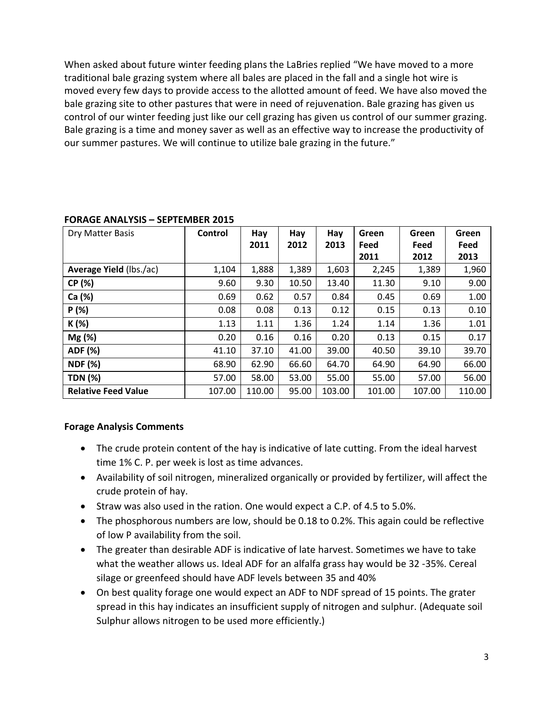When asked about future winter feeding plans the LaBries replied "We have moved to a more traditional bale grazing system where all bales are placed in the fall and a single hot wire is moved every few days to provide access to the allotted amount of feed. We have also moved the bale grazing site to other pastures that were in need of rejuvenation. Bale grazing has given us control of our winter feeding just like our cell grazing has given us control of our summer grazing. Bale grazing is a time and money saver as well as an effective way to increase the productivity of our summer pastures. We will continue to utilize bale grazing in the future."

| Dry Matter Basis           | Control | Hay    | Hay   | Hay    | Green  | Green  | Green  |
|----------------------------|---------|--------|-------|--------|--------|--------|--------|
|                            |         | 2011   | 2012  | 2013   | Feed   | Feed   | Feed   |
|                            |         |        |       |        | 2011   | 2012   | 2013   |
| Average Yield (lbs./ac)    | 1,104   | 1,888  | 1,389 | 1,603  | 2,245  | 1,389  | 1,960  |
| CP (%)                     | 9.60    | 9.30   | 10.50 | 13.40  | 11.30  | 9.10   | 9.00   |
| Ca (%)                     | 0.69    | 0.62   | 0.57  | 0.84   | 0.45   | 0.69   | 1.00   |
| P(%)                       | 0.08    | 0.08   | 0.13  | 0.12   | 0.15   | 0.13   | 0.10   |
| K (%)                      | 1.13    | 1.11   | 1.36  | 1.24   | 1.14   | 1.36   | 1.01   |
| $Mg$ (%)                   | 0.20    | 0.16   | 0.16  | 0.20   | 0.13   | 0.15   | 0.17   |
| ADF (%)                    | 41.10   | 37.10  | 41.00 | 39.00  | 40.50  | 39.10  | 39.70  |
| <b>NDF (%)</b>             | 68.90   | 62.90  | 66.60 | 64.70  | 64.90  | 64.90  | 66.00  |
| <b>TDN (%)</b>             | 57.00   | 58.00  | 53.00 | 55.00  | 55.00  | 57.00  | 56.00  |
| <b>Relative Feed Value</b> | 107.00  | 110.00 | 95.00 | 103.00 | 101.00 | 107.00 | 110.00 |

### **FORAGE ANALYSIS – SEPTEMBER 2015**

### **Forage Analysis Comments**

- The crude protein content of the hay is indicative of late cutting. From the ideal harvest time 1% C. P. per week is lost as time advances.
- Availability of soil nitrogen, mineralized organically or provided by fertilizer, will affect the crude protein of hay.
- Straw was also used in the ration. One would expect a C.P. of 4.5 to 5.0%.
- The phosphorous numbers are low, should be 0.18 to 0.2%. This again could be reflective of low P availability from the soil.
- The greater than desirable ADF is indicative of late harvest. Sometimes we have to take what the weather allows us. Ideal ADF for an alfalfa grass hay would be 32 -35%. Cereal silage or greenfeed should have ADF levels between 35 and 40%
- On best quality forage one would expect an ADF to NDF spread of 15 points. The grater spread in this hay indicates an insufficient supply of nitrogen and sulphur. (Adequate soil Sulphur allows nitrogen to be used more efficiently.)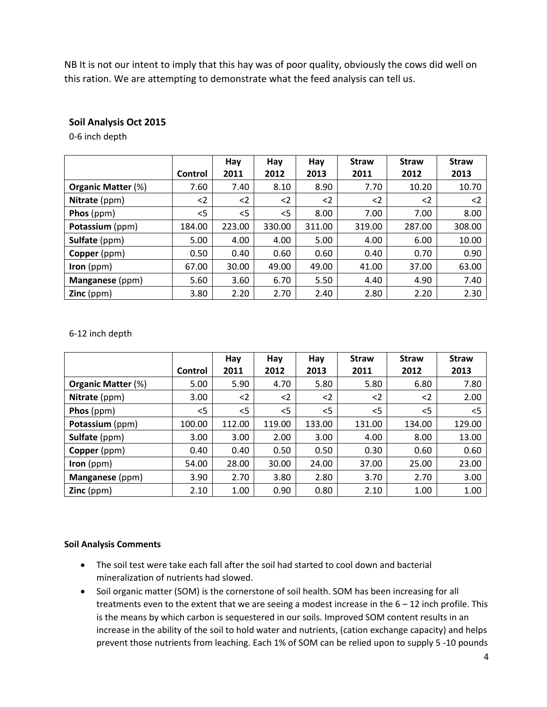NB It is not our intent to imply that this hay was of poor quality, obviously the cows did well on this ration. We are attempting to demonstrate what the feed analysis can tell us.

## **Soil Analysis Oct 2015**

0-6 inch depth

|                           | Control  | Hay<br>2011 | Hay<br>2012 | Hay<br>2013 | <b>Straw</b><br>2011 | <b>Straw</b><br>2012 | <b>Straw</b><br>2013 |
|---------------------------|----------|-------------|-------------|-------------|----------------------|----------------------|----------------------|
| <b>Organic Matter (%)</b> | 7.60     | 7.40        | 8.10        | 8.90        | 7.70                 | 10.20                | 10.70                |
| Nitrate (ppm)             | $\leq$ 2 | $<$ 2       | $<$ 2       | $2$         | $\leq$               | $\leq$               | $\leq$               |
| Phos (ppm)                | $<$ 5    | $<$ 5       | $<$ 5       | 8.00        | 7.00                 | 7.00                 | 8.00                 |
| Potassium (ppm)           | 184.00   | 223.00      | 330.00      | 311.00      | 319.00               | 287.00               | 308.00               |
| Sulfate (ppm)             | 5.00     | 4.00        | 4.00        | 5.00        | 4.00                 | 6.00                 | 10.00                |
| Copper (ppm)              | 0.50     | 0.40        | 0.60        | 0.60        | 0.40                 | 0.70                 | 0.90                 |
| $Iron (ppm)$              | 67.00    | 30.00       | 49.00       | 49.00       | 41.00                | 37.00                | 63.00                |
| Manganese (ppm)           | 5.60     | 3.60        | 6.70        | 5.50        | 4.40                 | 4.90                 | 7.40                 |
| <b>Zinc</b> ( $ppm$ )     | 3.80     | 2.20        | 2.70        | 2.40        | 2.80                 | 2.20                 | 2.30                 |

#### 6-12 inch depth

|                                          |         | Hay    | Hay    | Hay    | <b>Straw</b> | <b>Straw</b> | <b>Straw</b> |
|------------------------------------------|---------|--------|--------|--------|--------------|--------------|--------------|
|                                          | Control | 2011   | 2012   | 2013   | 2011         | 2012         | 2013         |
| <b>Organic Matter (%)</b>                | 5.00    | 5.90   | 4.70   | 5.80   | 5.80         | 6.80         | 7.80         |
| Nitrate (ppm)                            | 3.00    | $<$ 2  | $<$ 2  | $2$    | $<$ 2        | $\leq$       | 2.00         |
| Phos (ppm)                               | $<$ 5   | $<$ 5  | $<$ 5  | $<$ 5  | $<$ 5        | $<$ 5        | $<$ 5        |
| Potassium (ppm)                          | 100.00  | 112.00 | 119.00 | 133.00 | 131.00       | 134.00       | 129.00       |
| Sulfate (ppm)                            | 3.00    | 3.00   | 2.00   | 3.00   | 4.00         | 8.00         | 13.00        |
| Copper (ppm)                             | 0.40    | 0.40   | 0.50   | 0.50   | 0.30         | 0.60         | 0.60         |
| Iron $(ppm)$                             | 54.00   | 28.00  | 30.00  | 24.00  | 37.00        | 25.00        | 23.00        |
| Manganese (ppm)                          | 3.90    | 2.70   | 3.80   | 2.80   | 3.70         | 2.70         | 3.00         |
| $\textsf{Zinc}\left(\textsf{ppm}\right)$ | 2.10    | 1.00   | 0.90   | 0.80   | 2.10         | 1.00         | 1.00         |

#### **Soil Analysis Comments**

- The soil test were take each fall after the soil had started to cool down and bacterial mineralization of nutrients had slowed.
- Soil organic matter (SOM) is the cornerstone of soil health. SOM has been increasing for all treatments even to the extent that we are seeing a modest increase in the  $6 - 12$  inch profile. This is the means by which carbon is sequestered in our soils. Improved SOM content results in an increase in the ability of the soil to hold water and nutrients, (cation exchange capacity) and helps prevent those nutrients from leaching. Each 1% of SOM can be relied upon to supply 5 -10 pounds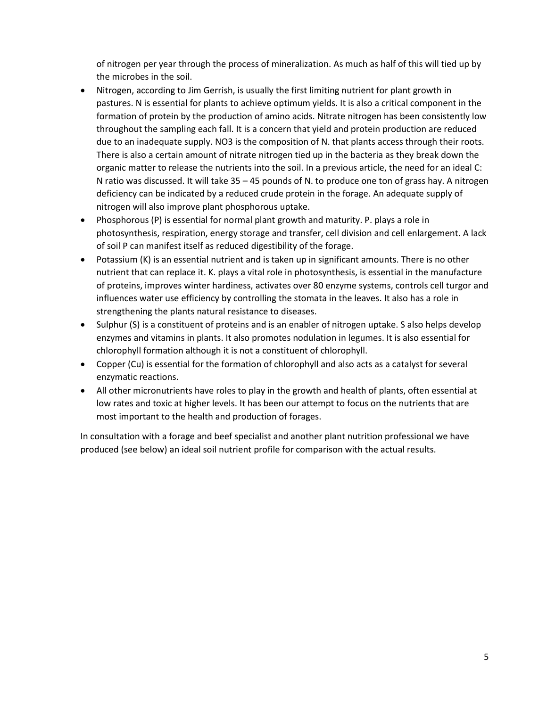of nitrogen per year through the process of mineralization. As much as half of this will tied up by the microbes in the soil.

- Nitrogen, according to Jim Gerrish, is usually the first limiting nutrient for plant growth in pastures. N is essential for plants to achieve optimum yields. It is also a critical component in the formation of protein by the production of amino acids. Nitrate nitrogen has been consistently low throughout the sampling each fall. It is a concern that yield and protein production are reduced due to an inadequate supply. NO3 is the composition of N. that plants access through their roots. There is also a certain amount of nitrate nitrogen tied up in the bacteria as they break down the organic matter to release the nutrients into the soil. In a previous article, the need for an ideal C: N ratio was discussed. It will take 35 – 45 pounds of N. to produce one ton of grass hay. A nitrogen deficiency can be indicated by a reduced crude protein in the forage. An adequate supply of nitrogen will also improve plant phosphorous uptake.
- Phosphorous (P) is essential for normal plant growth and maturity. P. plays a role in photosynthesis, respiration, energy storage and transfer, cell division and cell enlargement. A lack of soil P can manifest itself as reduced digestibility of the forage.
- Potassium (K) is an essential nutrient and is taken up in significant amounts. There is no other nutrient that can replace it. K. plays a vital role in photosynthesis, is essential in the manufacture of proteins, improves winter hardiness, activates over 80 enzyme systems, controls cell turgor and influences water use efficiency by controlling the stomata in the leaves. It also has a role in strengthening the plants natural resistance to diseases.
- Sulphur (S) is a constituent of proteins and is an enabler of nitrogen uptake. S also helps develop enzymes and vitamins in plants. It also promotes nodulation in legumes. It is also essential for chlorophyll formation although it is not a constituent of chlorophyll.
- Copper (Cu) is essential for the formation of chlorophyll and also acts as a catalyst for several enzymatic reactions.
- All other micronutrients have roles to play in the growth and health of plants, often essential at low rates and toxic at higher levels. It has been our attempt to focus on the nutrients that are most important to the health and production of forages.

In consultation with a forage and beef specialist and another plant nutrition professional we have produced (see below) an ideal soil nutrient profile for comparison with the actual results.